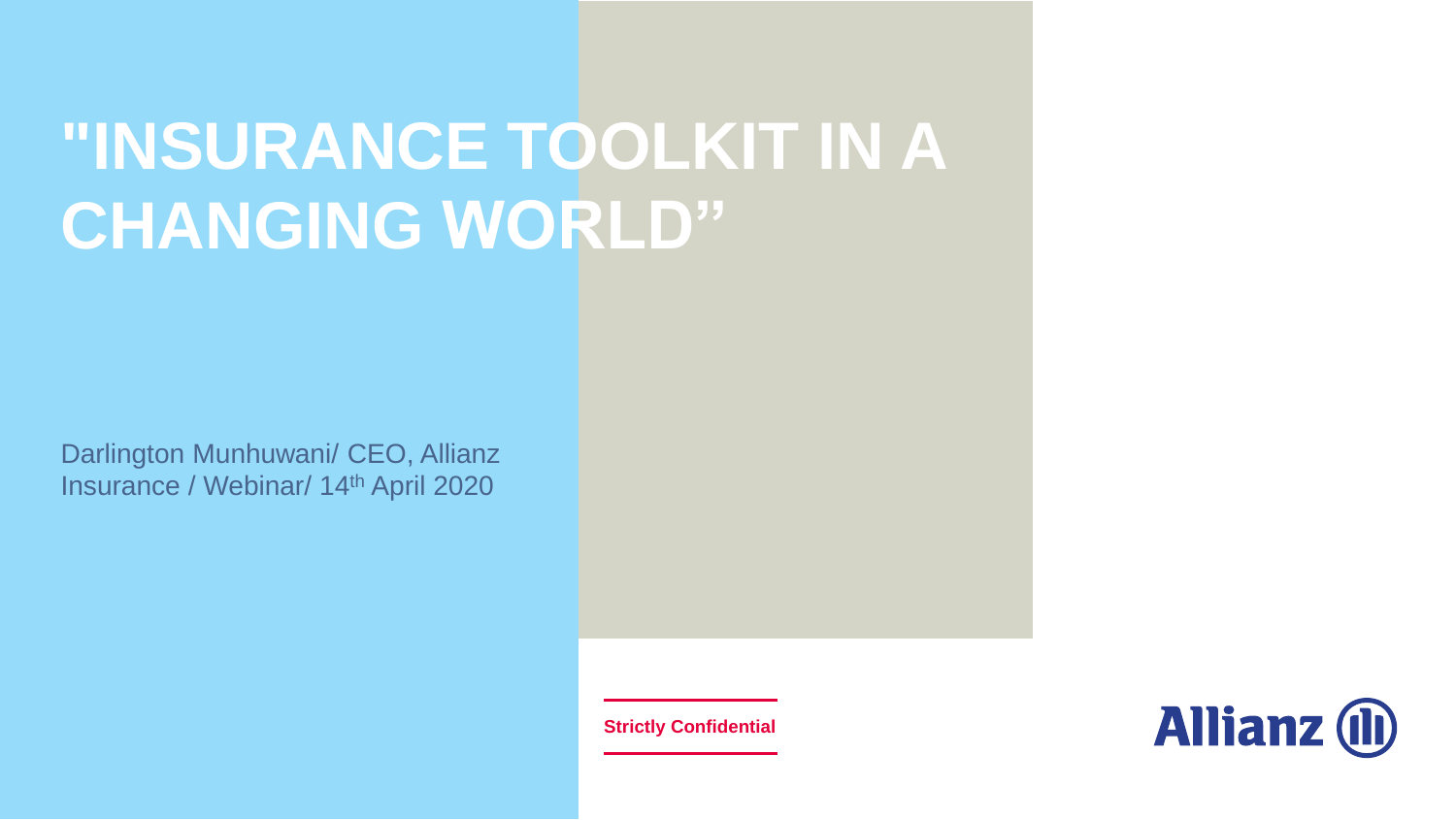# **"INSURANCE TOOLKIT IN A CHANGING WORLD"**

Darlington Munhuwani/ CEO, Allianz Insurance / Webinar/ 14th April 2020

**Strictly Confidential**

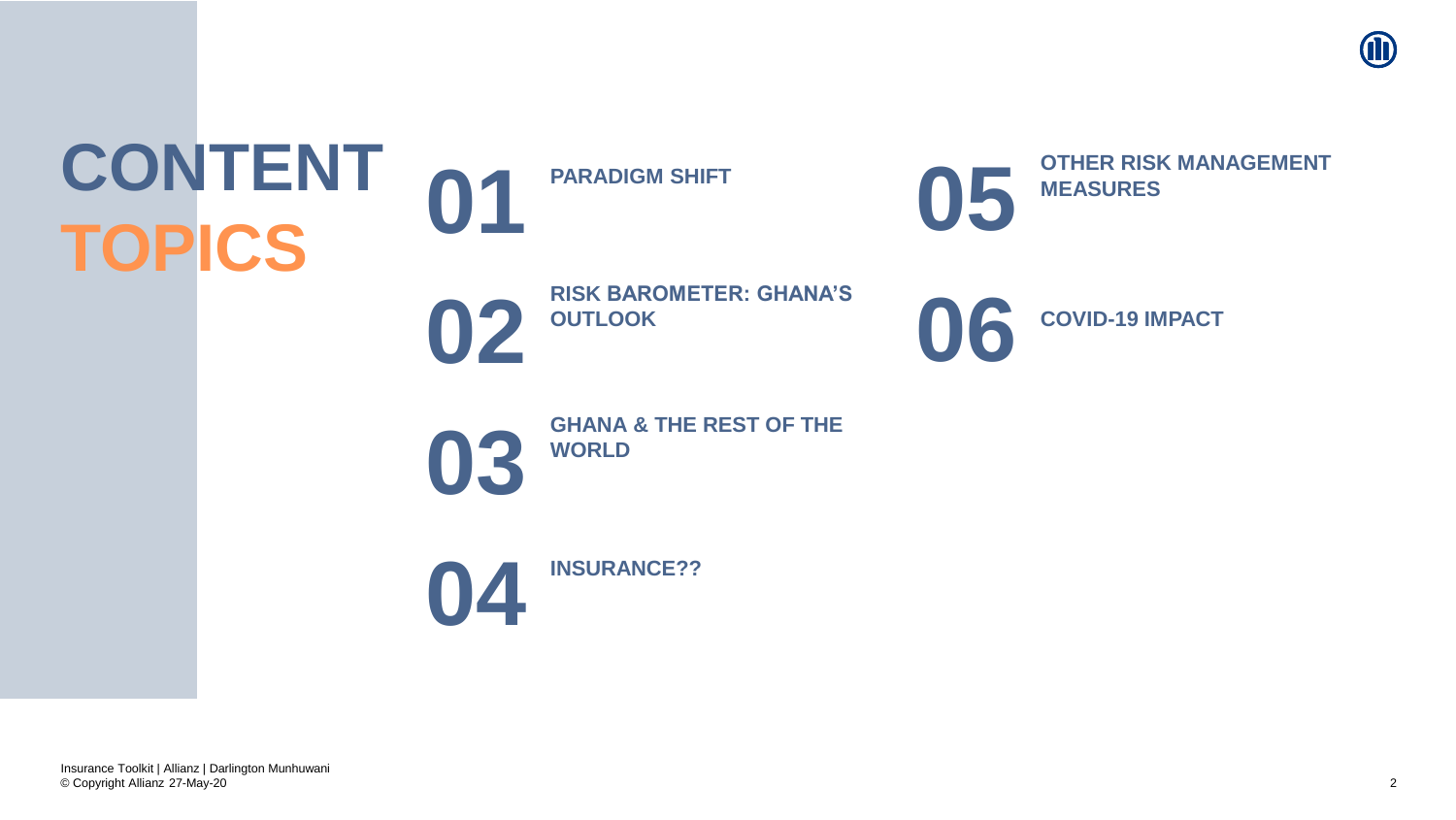

# **CONTENT TOPICS**





**022 RISK BAROMETER: GHANA'S** 





**03 GHANA** & THE REST OF THE **WORLD**



© Copyright Allianz 27-May-20 Insurance Toolkit | Allianz | Darlington Munhuwani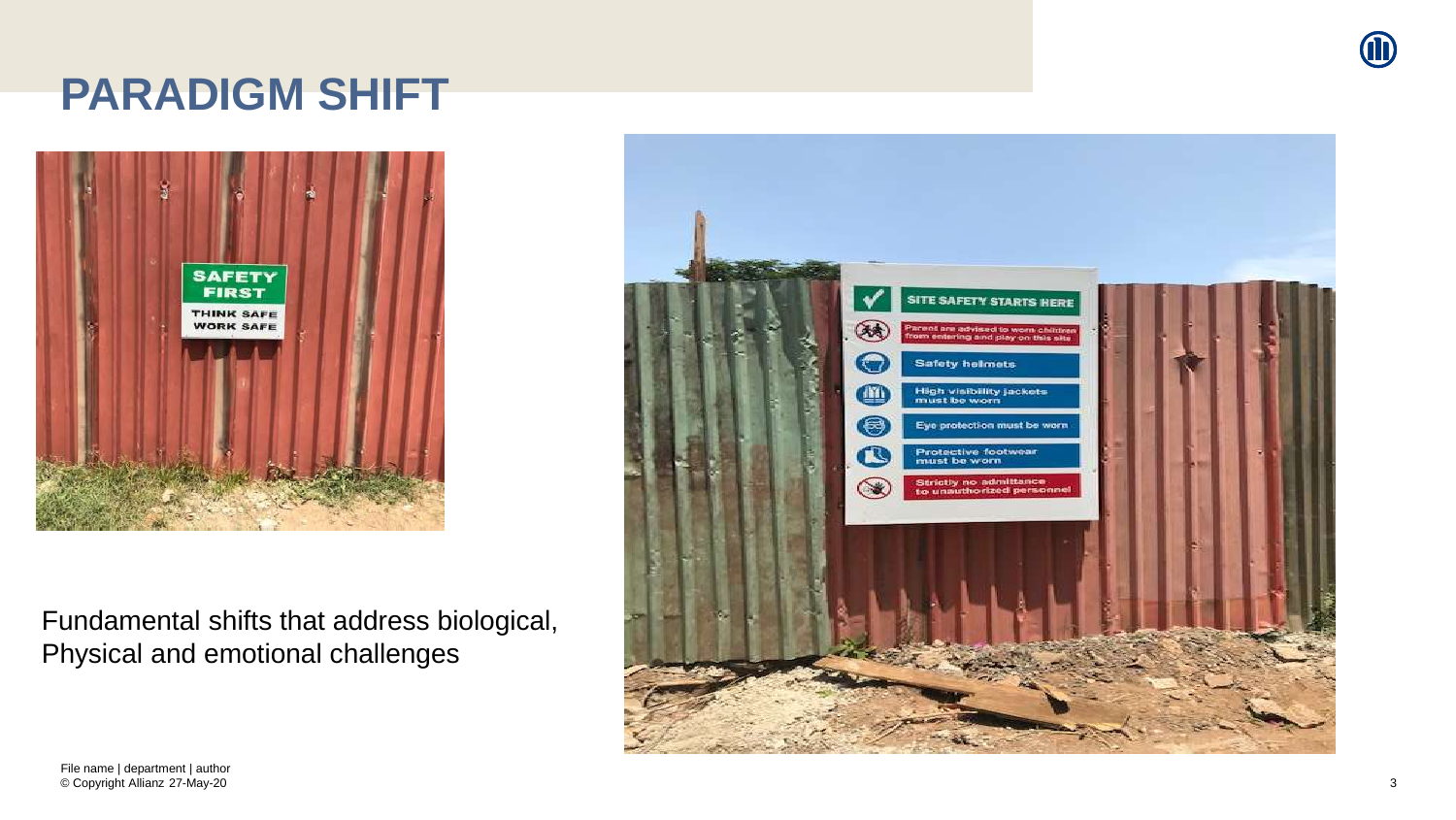# **PARADIGM SHIFT**



Fundamental shifts that address biological, Physical and emotional challenges



© Copyright Allianz 27-May-20 File name | department | author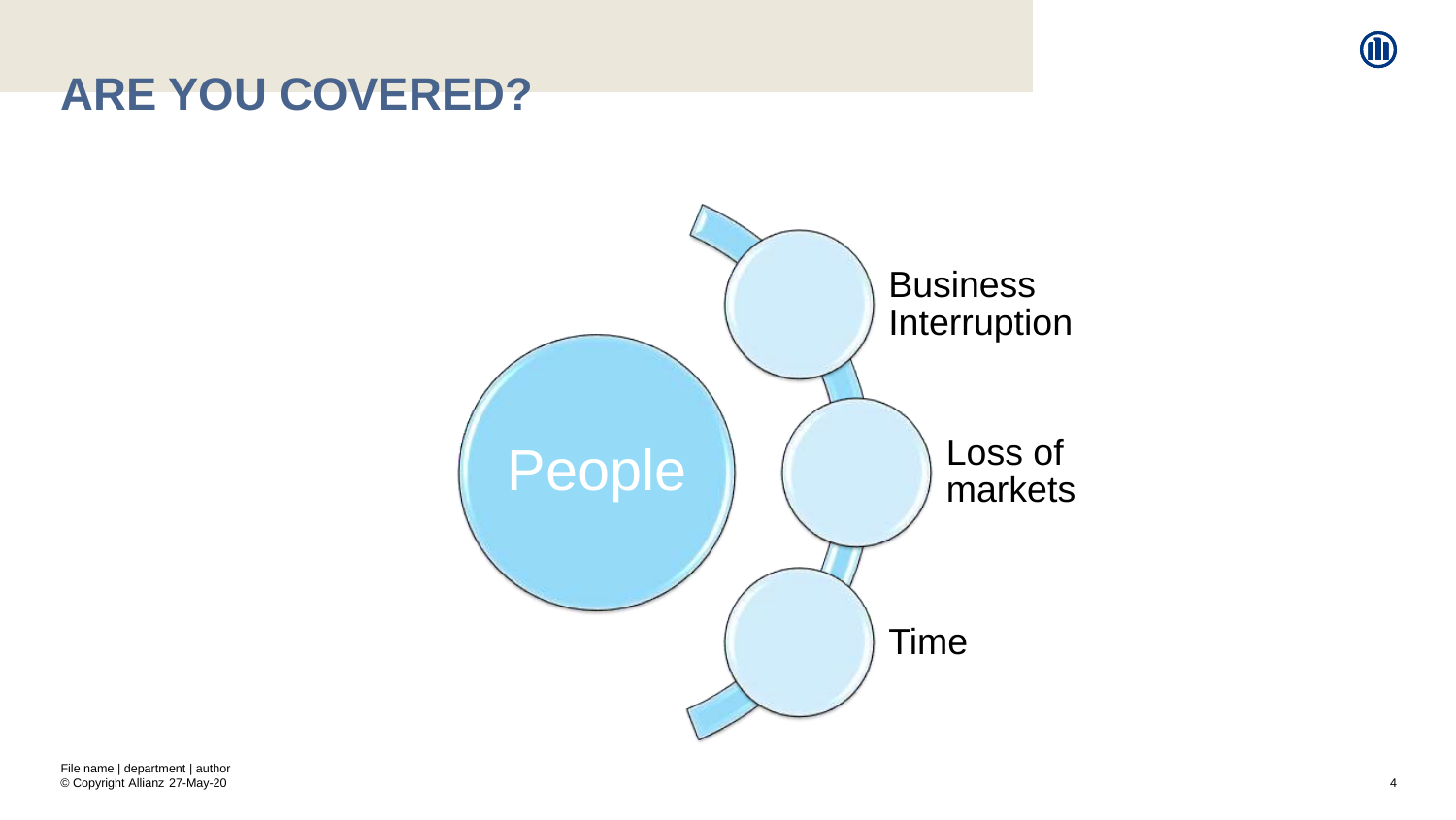

### **ARE YOU COVERED?**

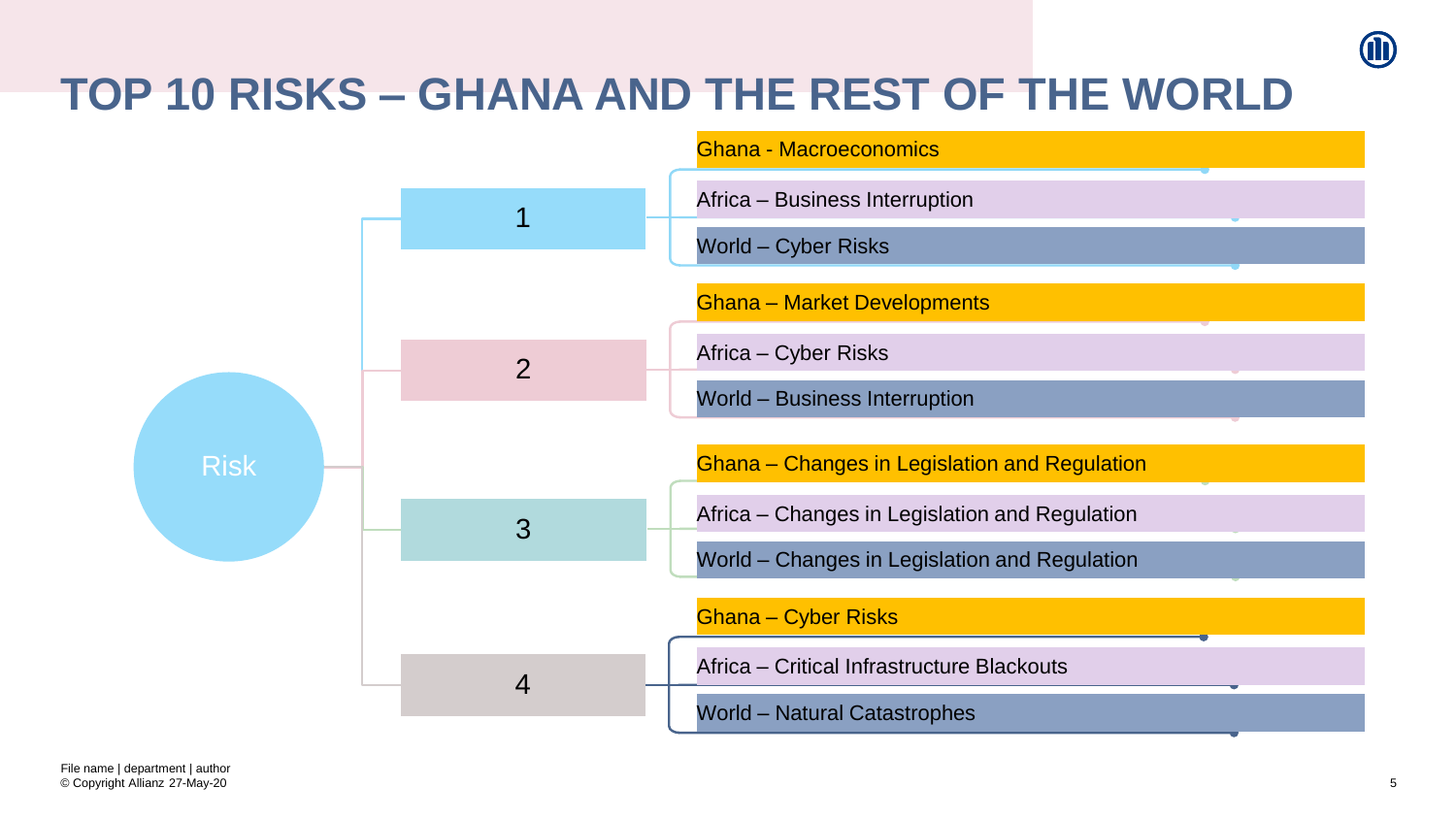# **TOP 10 RISKS – GHANA AND THE REST OF THE WORLD**

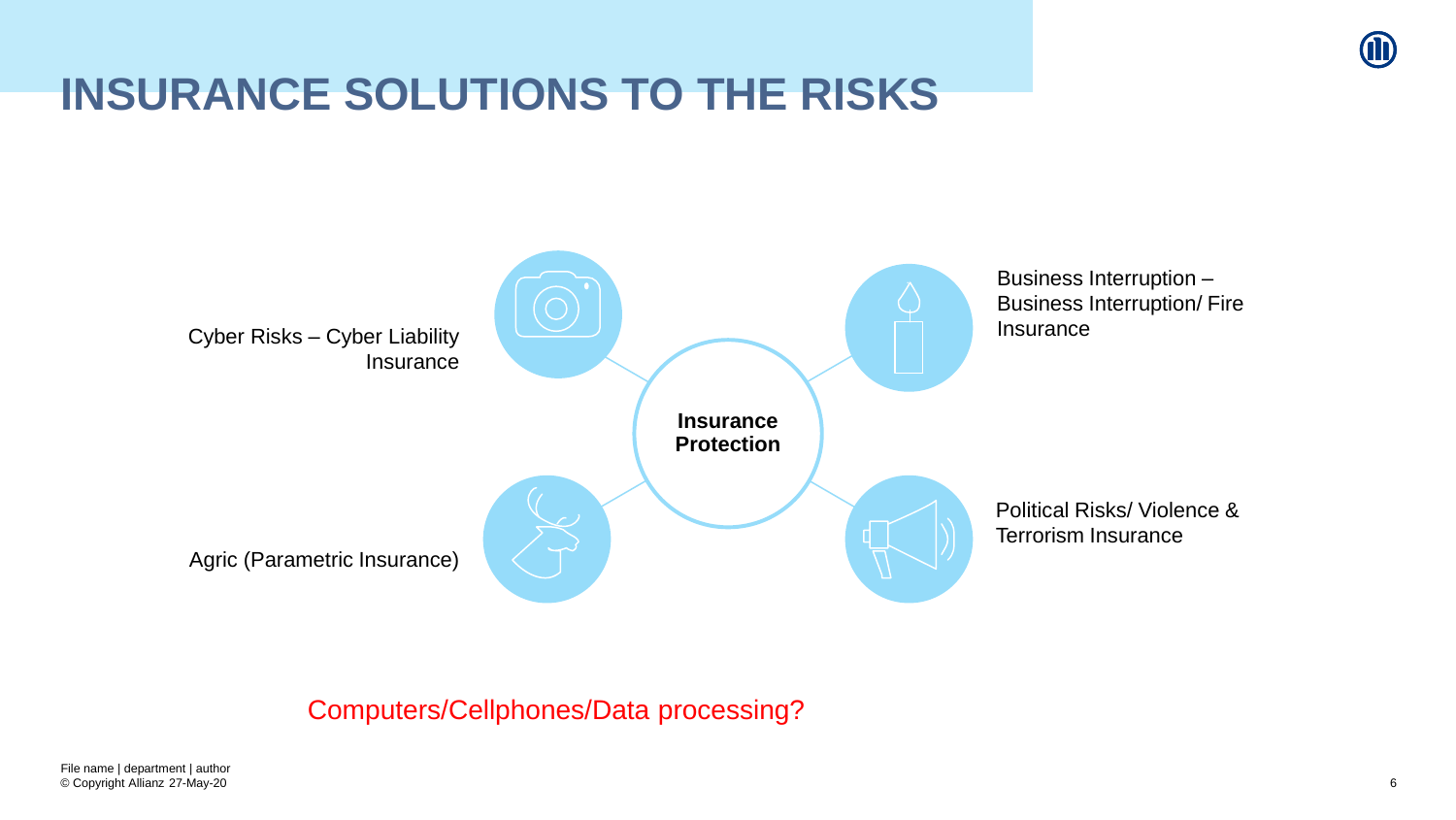

# **INSURANCE SOLUTIONS TO THE RISKS**



#### Computers/Cellphones/Data processing?

© Copyright Allianz 27-May-20 File name | department | author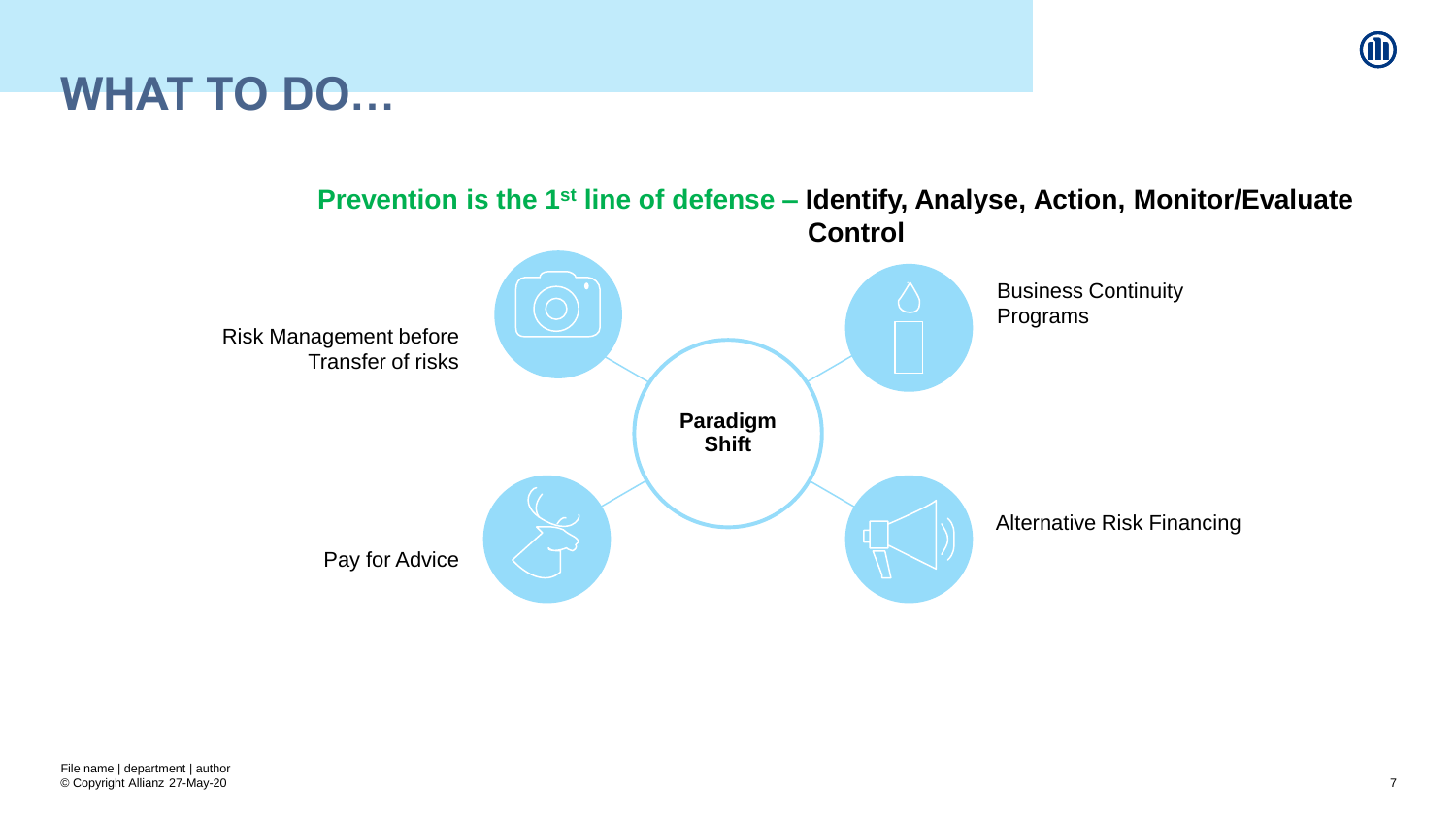

### **WHAT TO DO…**

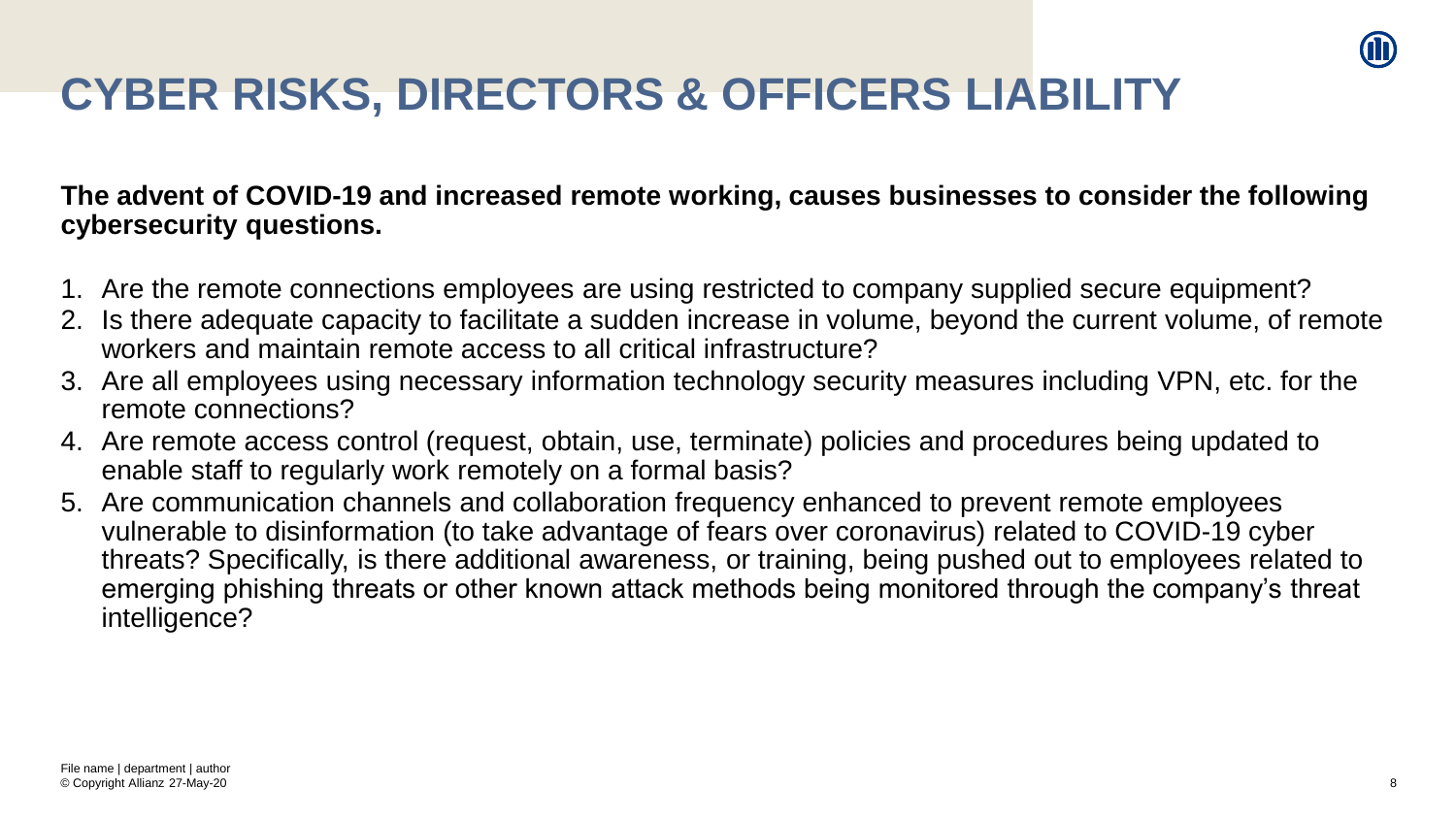

# **CYBER RISKS, DIRECTORS & OFFICERS LIABILITY**

**The advent of COVID-19 and increased remote working, causes businesses to consider the following cybersecurity questions.**

- 1. Are the remote connections employees are using restricted to company supplied secure equipment?
- 2. Is there adequate capacity to facilitate a sudden increase in volume, beyond the current volume, of remote workers and maintain remote access to all critical infrastructure?
- 3. Are all employees using necessary information technology security measures including VPN, etc. for the remote connections?
- 4. Are remote access control (request, obtain, use, terminate) policies and procedures being updated to enable staff to regularly work remotely on a formal basis?
- 5. Are communication channels and collaboration frequency enhanced to prevent remote employees vulnerable to disinformation (to take advantage of fears over coronavirus) related to COVID-19 cyber threats? Specifically, is there additional awareness, or training, being pushed out to employees related to emerging phishing threats or other known attack methods being monitored through the company's threat intelligence?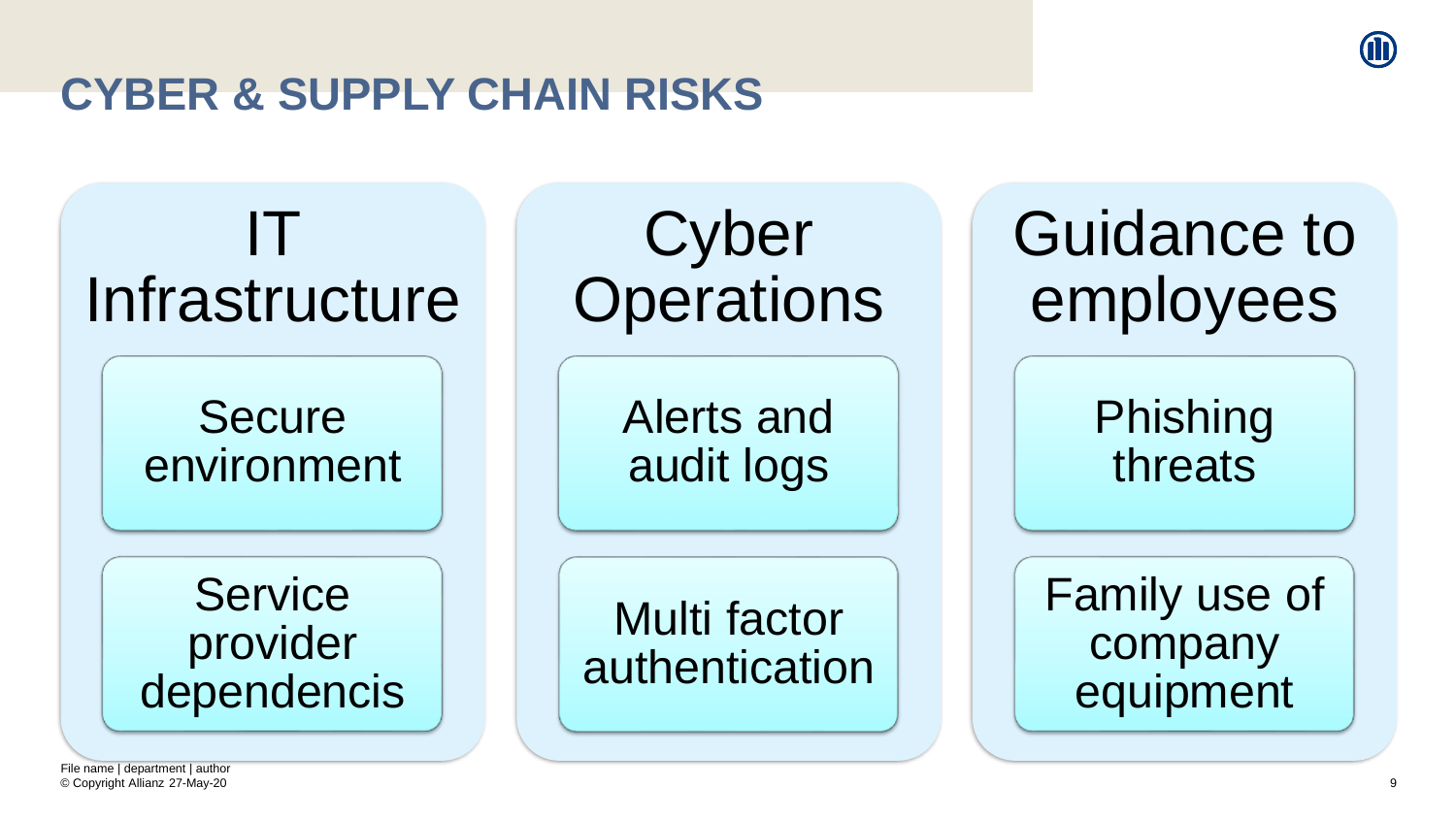## **CYBER & SUPPLY CHAIN RISKS**



© Copyright Allianz 27-May-20 File name | department | author